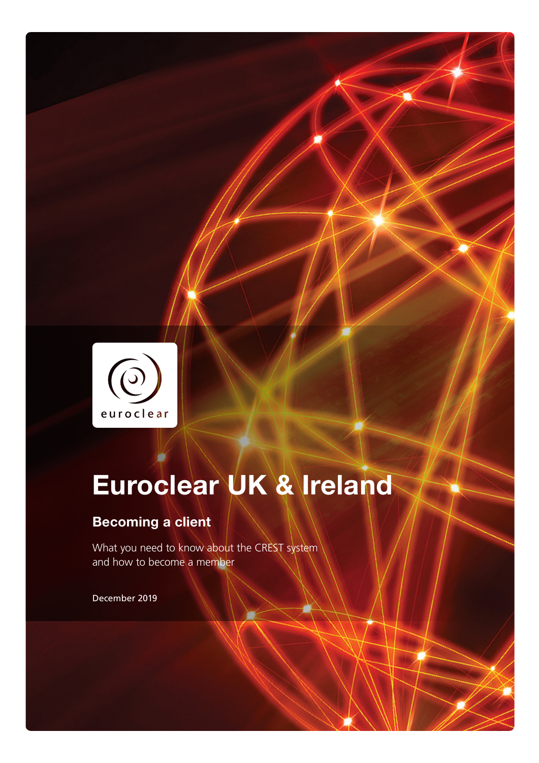

# Euroclear UK & Ireland

### Becoming a client

What you need to know about the CREST system and how to become a member

December 2019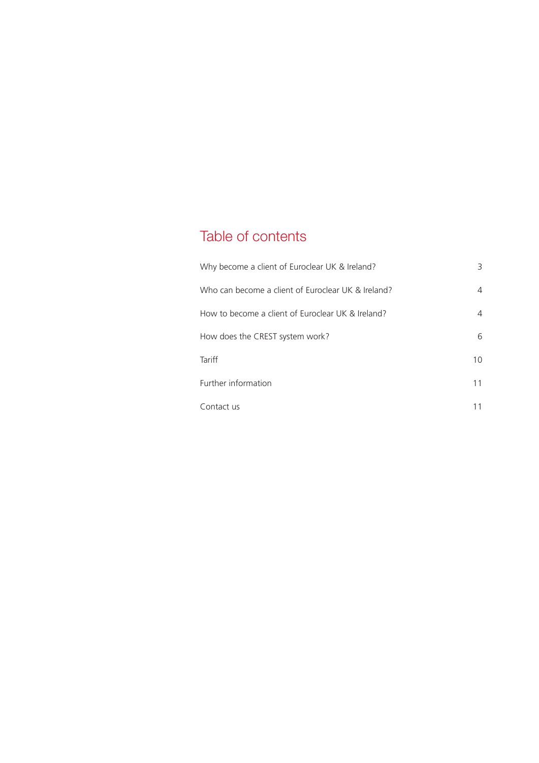# Table of contents

| Why become a client of Euroclear UK & Ireland?     | 3  |
|----------------------------------------------------|----|
| Who can become a client of Euroclear UK & Ireland? | 4  |
| How to become a client of Euroclear UK & Ireland?  | 4  |
| How does the CREST system work?                    | 6  |
| <b>Tariff</b>                                      | 10 |
| Further information                                | 11 |
| Contact us                                         |    |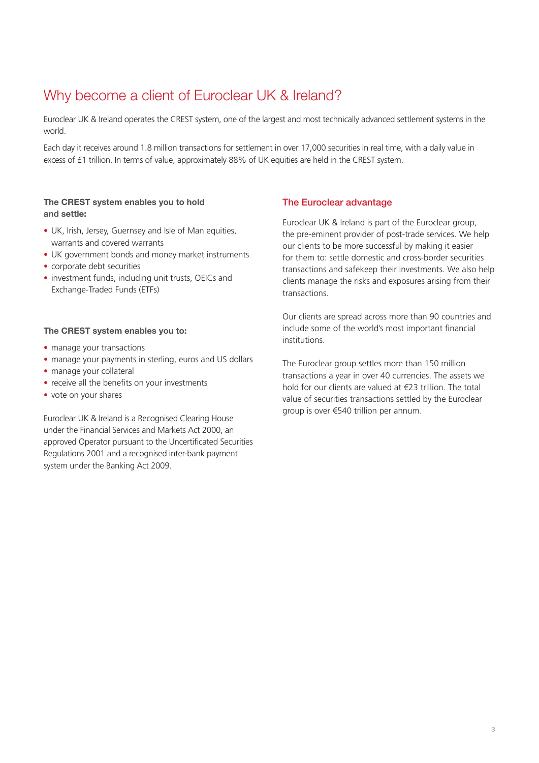### Why become a client of Euroclear UK & Ireland?

Euroclear UK & Ireland operates the CREST system, one of the largest and most technically advanced settlement systems in the world.

Each day it receives around 1.8 million transactions for settlement in over 17,000 securities in real time, with a daily value in excess of £1 trillion. In terms of value, approximately 88% of UK equities are held in the CREST system.

#### The CREST system enables you to hold and settle:

- UK, Irish, Jersey, Guernsey and Isle of Man equities, warrants and covered warrants
- UK government bonds and money market instruments
- corporate debt securities
- investment funds, including unit trusts, OEICs and Exchange-Traded Funds (ETFs)

#### The CREST system enables you to:

- manage your transactions
- manage your payments in sterling, euros and US dollars
- manage your collateral
- receive all the benefits on your investments
- vote on your shares

Euroclear UK & Ireland is a Recognised Clearing House under the Financial Services and Markets Act 2000, an approved Operator pursuant to the Uncertificated Securities Regulations 2001 and a recognised inter-bank payment system under the Banking Act 2009.

#### The Euroclear advantage

Euroclear UK & Ireland is part of the Euroclear group, the pre-eminent provider of post-trade services. We help our clients to be more successful by making it easier for them to: settle domestic and cross-border securities transactions and safekeep their investments. We also help clients manage the risks and exposures arising from their transactions.

Our clients are spread across more than 90 countries and include some of the world's most important financial institutions.

The Euroclear group settles more than 150 million transactions a year in over 40 currencies. The assets we hold for our clients are valued at €23 trillion. The total value of securities transactions settled by the Euroclear group is over €540 trillion per annum.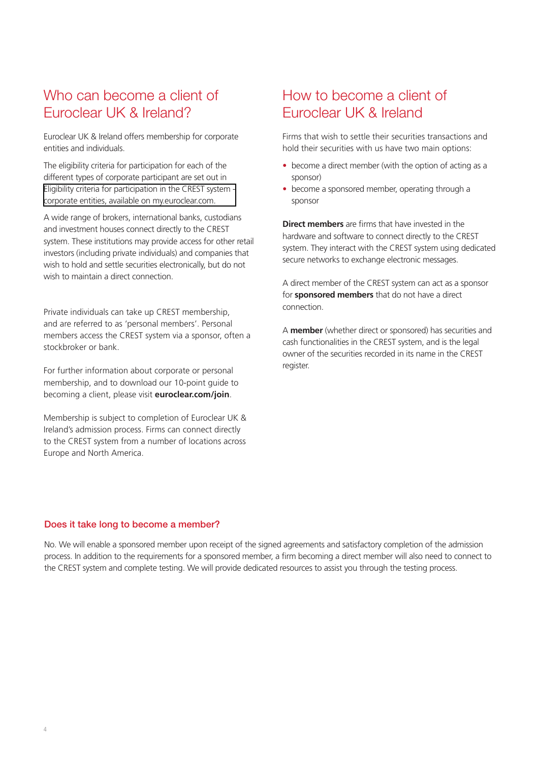### Who can become a client of Euroclear UK & Ireland?

Euroclear UK & Ireland offers membership for corporate entities and individuals.

The eligibility criteria for participation for each of the different types of corporate participant are set out in [Eligibility criteria for participation in the CREST system](https://my.euroclear.com/dam/EUI/CSDR/Eligibility-criteria-for-participation-in-the-CREST-system-Corporate%20entities.pdf)  corporate entities, available on my.euroclear.com.

A wide range of brokers, international banks, custodians and investment houses connect directly to the CREST system. These institutions may provide access for other retail investors (including private individuals) and companies that wish to hold and settle securities electronically, but do not wish to maintain a direct connection.

Private individuals can take up CREST membership, and are referred to as 'personal members'. Personal members access the CREST system via a sponsor, often a stockbroker or bank.

For further information about corporate or personal membership, and to download our 10-point guide to becoming a client, please visit **euroclear.com/join**.

Membership is subject to completion of Euroclear UK & Ireland's admission process. Firms can connect directly to the CREST system from a number of locations across Europe and North America.

### How to become a client of Euroclear UK & Ireland

Firms that wish to settle their securities transactions and hold their securities with us have two main options:

- become a direct member (with the option of acting as a sponsor)
- become a sponsored member, operating through a sponsor

**Direct members** are firms that have invested in the hardware and software to connect directly to the CREST system. They interact with the CREST system using dedicated secure networks to exchange electronic messages.

A direct member of the CREST system can act as a sponsor for **sponsored members** that do not have a direct connection.

A **member** (whether direct or sponsored) has securities and cash functionalities in the CREST system, and is the legal owner of the securities recorded in its name in the CREST register.

#### Does it take long to become a member?

No. We will enable a sponsored member upon receipt of the signed agreements and satisfactory completion of the admission process. In addition to the requirements for a sponsored member, a firm becoming a direct member will also need to connect to the CREST system and complete testing. We will provide dedicated resources to assist you through the testing process.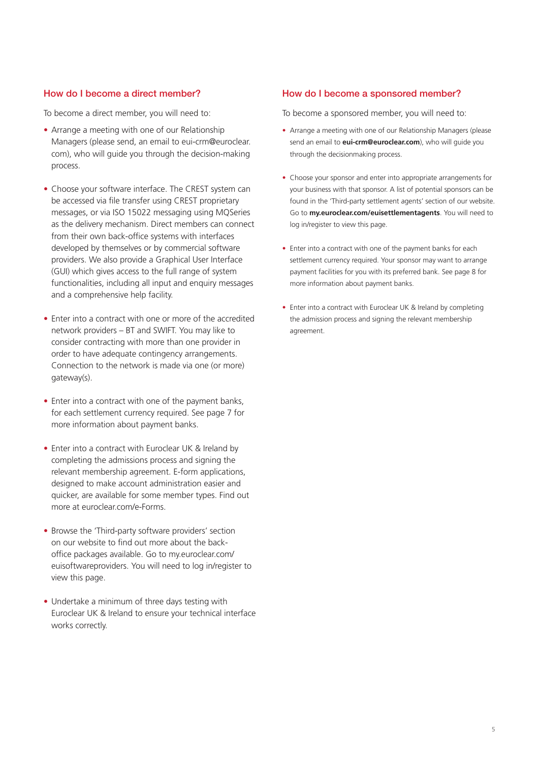#### How do I become a direct member?

To become a direct member, you will need to:

- Arrange a meeting with one of our Relationship Managers (please send, an email to eui-crm@euroclear. com), who will guide you through the decision-making process.
- Choose your software interface. The CREST system can be accessed via file transfer using CREST proprietary messages, or via ISO 15022 messaging using MQSeries as the delivery mechanism. Direct members can connect from their own back-office systems with interfaces developed by themselves or by commercial software providers. We also provide a Graphical User Interface (GUI) which gives access to the full range of system functionalities, including all input and enquiry messages and a comprehensive help facility.
- Enter into a contract with one or more of the accredited network providers – BT and SWIFT. You may like to consider contracting with more than one provider in order to have adequate contingency arrangements. Connection to the network is made via one (or more) gateway(s).
- Enter into a contract with one of the payment banks, for each settlement currency required. See page 7 for more information about payment banks.
- Enter into a contract with Euroclear UK & Ireland by completing the admissions process and signing the relevant membership agreement. E-form applications, designed to make account administration easier and quicker, are available for some member types. Find out more at euroclear.com/e-Forms.
- Browse the 'Third-party software providers' section on our website to find out more about the backoffice packages available. Go to my.euroclear.com/ euisoftwareproviders. You will need to log in/register to view this page.
- Undertake a minimum of three days testing with Euroclear UK & Ireland to ensure your technical interface works correctly.

#### How do I become a sponsored member?

To become a sponsored member, you will need to:

- Arrange a meeting with one of our Relationship Managers (please send an email to **eui-crm@euroclear.com**), who will guide you through the decisionmaking process.
- Choose your sponsor and enter into appropriate arrangements for your business with that sponsor. A list of potential sponsors can be found in the 'Third-party settlement agents' section of our website. Go to **my.euroclear.com/euisettlementagents**. You will need to log in/register to view this page.
- Enter into a contract with one of the payment banks for each settlement currency required. Your sponsor may want to arrange payment facilities for you with its preferred bank. See page 8 for more information about payment banks.
- Enter into a contract with Euroclear UK & Ireland by completing the admission process and signing the relevant membership agreement.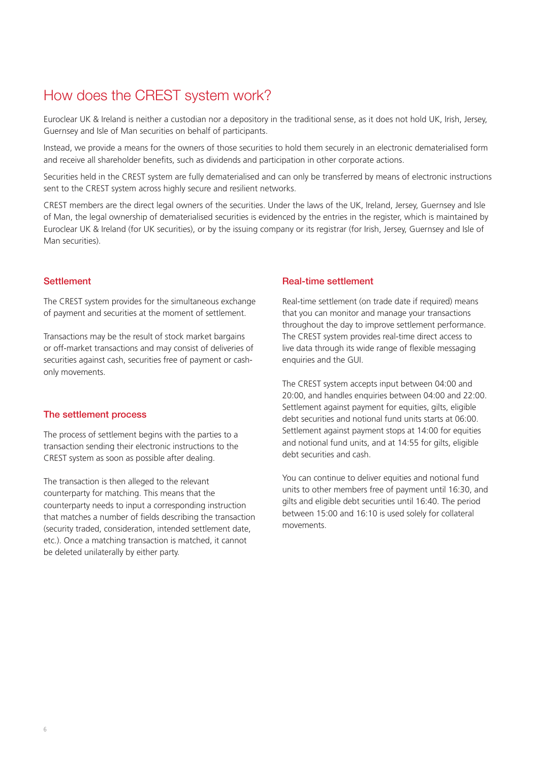### How does the CREST system work?

Euroclear UK & Ireland is neither a custodian nor a depository in the traditional sense, as it does not hold UK, Irish, Jersey, Guernsey and Isle of Man securities on behalf of participants.

Instead, we provide a means for the owners of those securities to hold them securely in an electronic dematerialised form and receive all shareholder benefits, such as dividends and participation in other corporate actions.

Securities held in the CREST system are fully dematerialised and can only be transferred by means of electronic instructions sent to the CREST system across highly secure and resilient networks.

CREST members are the direct legal owners of the securities. Under the laws of the UK, Ireland, Jersey, Guernsey and Isle of Man, the legal ownership of dematerialised securities is evidenced by the entries in the register, which is maintained by Euroclear UK & Ireland (for UK securities), or by the issuing company or its registrar (for Irish, Jersey, Guernsey and Isle of Man securities).

#### **Settlement**

The CREST system provides for the simultaneous exchange of payment and securities at the moment of settlement.

Transactions may be the result of stock market bargains or off-market transactions and may consist of deliveries of securities against cash, securities free of payment or cashonly movements.

#### The settlement process

The process of settlement begins with the parties to a transaction sending their electronic instructions to the CREST system as soon as possible after dealing.

The transaction is then alleged to the relevant counterparty for matching. This means that the counterparty needs to input a corresponding instruction that matches a number of fields describing the transaction (security traded, consideration, intended settlement date, etc.). Once a matching transaction is matched, it cannot be deleted unilaterally by either party.

#### Real-time settlement

Real-time settlement (on trade date if required) means that you can monitor and manage your transactions throughout the day to improve settlement performance. The CREST system provides real-time direct access to live data through its wide range of flexible messaging enquiries and the GUI.

The CREST system accepts input between 04:00 and 20:00, and handles enquiries between 04:00 and 22:00. Settlement against payment for equities, gilts, eligible debt securities and notional fund units starts at 06:00. Settlement against payment stops at 14:00 for equities and notional fund units, and at 14:55 for gilts, eligible debt securities and cash.

You can continue to deliver equities and notional fund units to other members free of payment until 16:30, and gilts and eligible debt securities until 16:40. The period between 15:00 and 16:10 is used solely for collateral movements.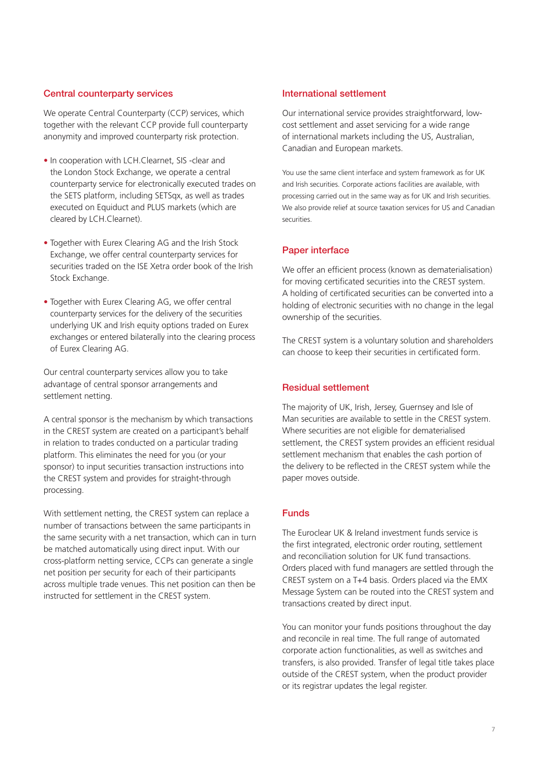#### Central counterparty services

We operate Central Counterparty (CCP) services, which together with the relevant CCP provide full counterparty anonymity and improved counterparty risk protection.

- In cooperation with LCH.Clearnet, SIS -clear and the London Stock Exchange, we operate a central counterparty service for electronically executed trades on the SETS platform, including SETSqx, as well as trades executed on Equiduct and PLUS markets (which are cleared by LCH.Clearnet).
- Together with Eurex Clearing AG and the Irish Stock Exchange, we offer central counterparty services for securities traded on the ISE Xetra order book of the Irish Stock Exchange.
- Together with Eurex Clearing AG, we offer central counterparty services for the delivery of the securities underlying UK and Irish equity options traded on Eurex exchanges or entered bilaterally into the clearing process of Eurex Clearing AG.

Our central counterparty services allow you to take advantage of central sponsor arrangements and settlement netting.

A central sponsor is the mechanism by which transactions in the CREST system are created on a participant's behalf in relation to trades conducted on a particular trading platform. This eliminates the need for you (or your sponsor) to input securities transaction instructions into the CREST system and provides for straight-through processing.

With settlement netting, the CREST system can replace a number of transactions between the same participants in the same security with a net transaction, which can in turn be matched automatically using direct input. With our cross-platform netting service, CCPs can generate a single net position per security for each of their participants across multiple trade venues. This net position can then be instructed for settlement in the CREST system.

#### International settlement

Our international service provides straightforward, lowcost settlement and asset servicing for a wide range of international markets including the US, Australian, Canadian and European markets.

You use the same client interface and system framework as for UK and Irish securities. Corporate actions facilities are available, with processing carried out in the same way as for UK and Irish securities. We also provide relief at source taxation services for US and Canadian securities.

#### Paper interface

We offer an efficient process (known as dematerialisation) for moving certificated securities into the CREST system. A holding of certificated securities can be converted into a holding of electronic securities with no change in the legal ownership of the securities.

The CREST system is a voluntary solution and shareholders can choose to keep their securities in certificated form.

#### Residual settlement

The majority of UK, Irish, Jersey, Guernsey and Isle of Man securities are available to settle in the CREST system. Where securities are not eligible for dematerialised settlement, the CREST system provides an efficient residual settlement mechanism that enables the cash portion of the delivery to be reflected in the CREST system while the paper moves outside.

#### Funds

The Euroclear UK & Ireland investment funds service is the first integrated, electronic order routing, settlement and reconciliation solution for UK fund transactions. Orders placed with fund managers are settled through the CREST system on a T+4 basis. Orders placed via the EMX Message System can be routed into the CREST system and transactions created by direct input.

You can monitor your funds positions throughout the day and reconcile in real time. The full range of automated corporate action functionalities, as well as switches and transfers, is also provided. Transfer of legal title takes place outside of the CREST system, when the product provider or its registrar updates the legal register.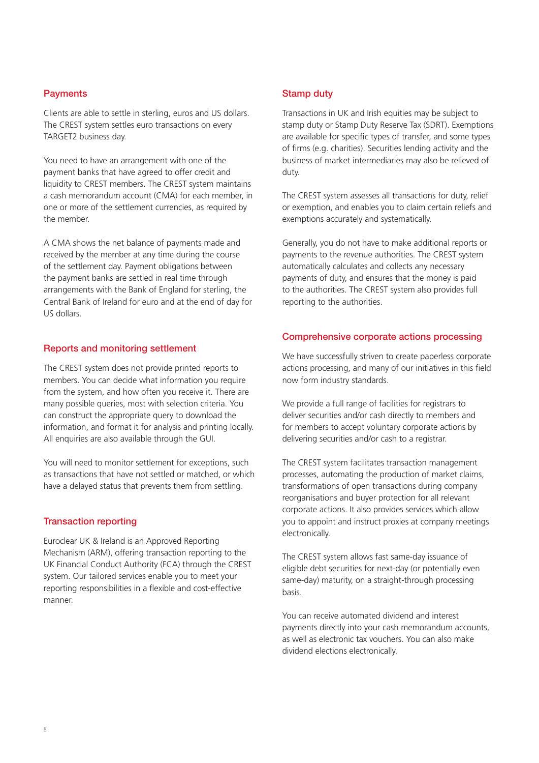#### **Payments**

Clients are able to settle in sterling, euros and US dollars. The CREST system settles euro transactions on every TARGET2 business day.

You need to have an arrangement with one of the payment banks that have agreed to offer credit and liquidity to CREST members. The CREST system maintains a cash memorandum account (CMA) for each member, in one or more of the settlement currencies, as required by the member.

A CMA shows the net balance of payments made and received by the member at any time during the course of the settlement day. Payment obligations between the payment banks are settled in real time through arrangements with the Bank of England for sterling, the Central Bank of Ireland for euro and at the end of day for US dollars.

#### Reports and monitoring settlement

The CREST system does not provide printed reports to members. You can decide what information you require from the system, and how often you receive it. There are many possible queries, most with selection criteria. You can construct the appropriate query to download the information, and format it for analysis and printing locally. All enquiries are also available through the GUI.

You will need to monitor settlement for exceptions, such as transactions that have not settled or matched, or which have a delayed status that prevents them from settling.

#### Transaction reporting

Euroclear UK & Ireland is an Approved Reporting Mechanism (ARM), offering transaction reporting to the UK Financial Conduct Authority (FCA) through the CREST system. Our tailored services enable you to meet your reporting responsibilities in a flexible and cost-effective manner.

#### Stamp duty

Transactions in UK and Irish equities may be subject to stamp duty or Stamp Duty Reserve Tax (SDRT). Exemptions are available for specific types of transfer, and some types of firms (e.g. charities). Securities lending activity and the business of market intermediaries may also be relieved of duty.

The CREST system assesses all transactions for duty, relief or exemption, and enables you to claim certain reliefs and exemptions accurately and systematically.

Generally, you do not have to make additional reports or payments to the revenue authorities. The CREST system automatically calculates and collects any necessary payments of duty, and ensures that the money is paid to the authorities. The CREST system also provides full reporting to the authorities.

#### Comprehensive corporate actions processing

We have successfully striven to create paperless corporate actions processing, and many of our initiatives in this field now form industry standards.

We provide a full range of facilities for registrars to deliver securities and/or cash directly to members and for members to accept voluntary corporate actions by delivering securities and/or cash to a registrar.

The CREST system facilitates transaction management processes, automating the production of market claims, transformations of open transactions during company reorganisations and buyer protection for all relevant corporate actions. It also provides services which allow you to appoint and instruct proxies at company meetings electronically.

The CREST system allows fast same-day issuance of eligible debt securities for next-day (or potentially even same-day) maturity, on a straight-through processing basis.

You can receive automated dividend and interest payments directly into your cash memorandum accounts, as well as electronic tax vouchers. You can also make dividend elections electronically.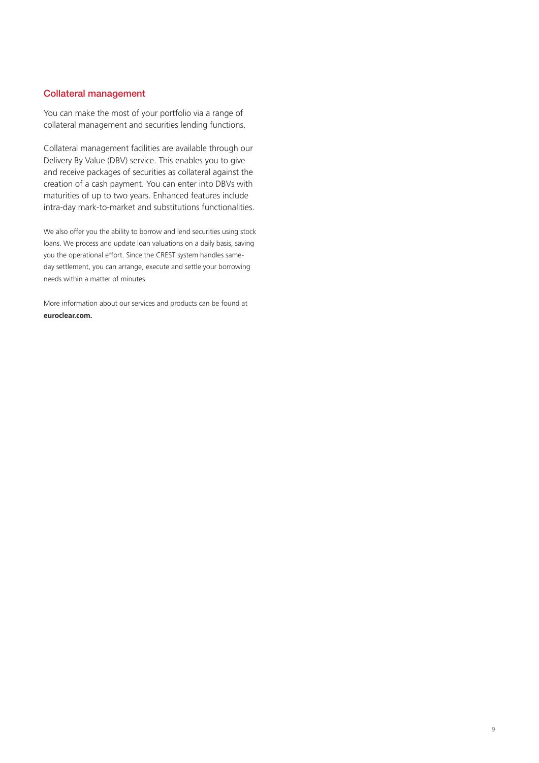#### Collateral management

You can make the most of your portfolio via a range of collateral management and securities lending functions.

Collateral management facilities are available through our Delivery By Value (DBV) service. This enables you to give and receive packages of securities as collateral against the creation of a cash payment. You can enter into DBVs with maturities of up to two years. Enhanced features include intra-day mark-to-market and substitutions functionalities.

We also offer you the ability to borrow and lend securities using stock loans. We process and update loan valuations on a daily basis, saving you the operational effort. Since the CREST system handles sameday settlement, you can arrange, execute and settle your borrowing needs within a matter of minutes

More information about our services and products can be found at **euroclear.com.**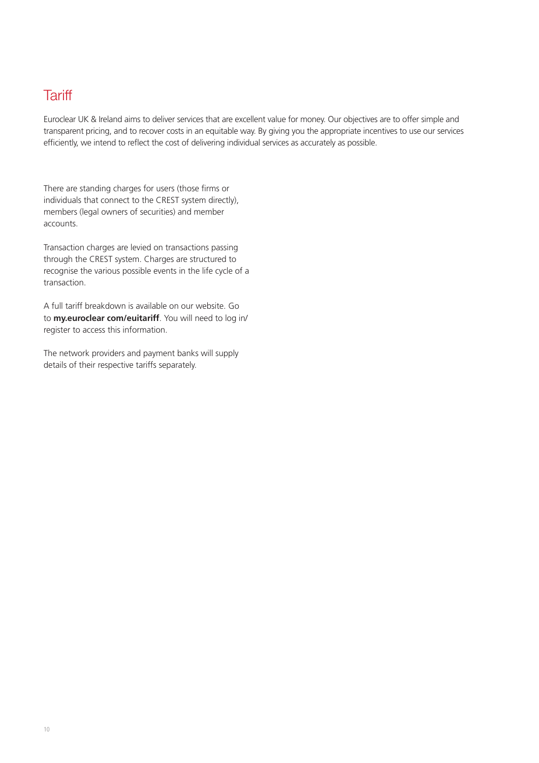### **Tariff**

Euroclear UK & Ireland aims to deliver services that are excellent value for money. Our objectives are to offer simple and transparent pricing, and to recover costs in an equitable way. By giving you the appropriate incentives to use our services efficiently, we intend to reflect the cost of delivering individual services as accurately as possible.

There are standing charges for users (those firms or individuals that connect to the CREST system directly), members (legal owners of securities) and member accounts.

Transaction charges are levied on transactions passing through the CREST system. Charges are structured to recognise the various possible events in the life cycle of a transaction.

A full tariff breakdown is available on our website. Go to **my.euroclear com/euitariff**. You will need to log in/ register to access this information.

The network providers and payment banks will supply details of their respective tariffs separately.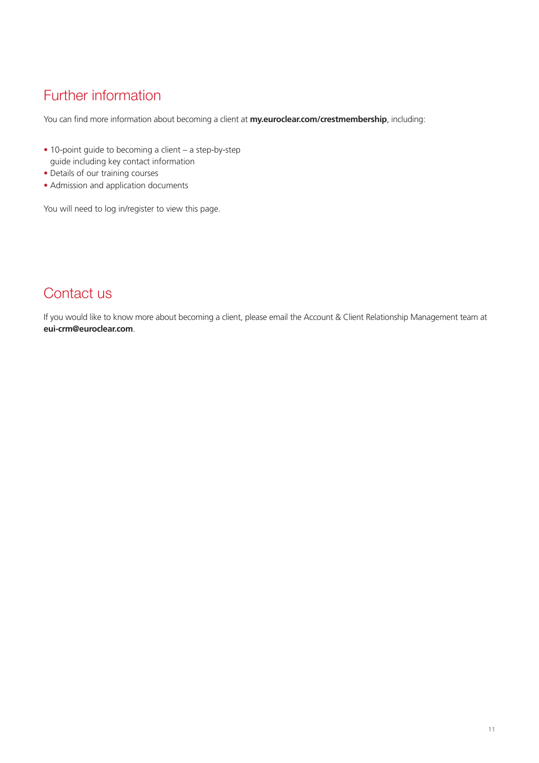# Further information

You can find more information about becoming a client at **my.euroclear.com/crestmembership**, including:

- 10-point guide to becoming a client a step-by-step guide including key contact information
- Details of our training courses
- Admission and application documents

You will need to log in/register to view this page.

### Contact us

If you would like to know more about becoming a client, please email the Account & Client Relationship Management team at **eui-crm@euroclear.com**.